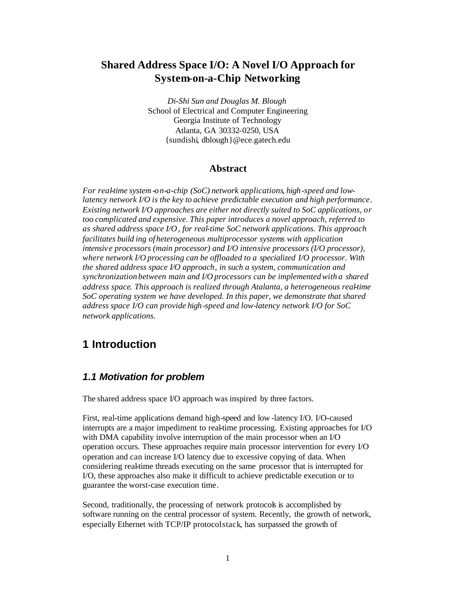## **Shared Address Space I/O: A Novel I/O Approach for System-on-a-Chip Networking**

*Di-Shi Sun and Douglas M. Blough* School of Electrical and Computer Engineering Georgia Institute of Technology Atlanta, GA 30332-0250, USA {sundishi, dblough}@ece.gatech.edu

#### **Abstract**

*For real-time system-on-a-chip (SoC) network applications, high-speed and lowlatency network I/O is the key to achieve predictable execution and high performance. Existing network I/O approaches are either not directly suited to SoC applications, or too complicated and expensive. This paper introduces a novel approach, referred to as shared address space I/O, for real-time SoC network applications. This approach facilitates build ing of heterogeneous multiprocessor systems with application intensiv e processors (main processor) and I/O intensive processors (I/O processor), where network I/O processing can be offloaded to a specialized I/O processor. With the shared address space I/O approach, in such a system, communication and synchronization between main and I/O processors can be implemented with a shared address space. This approach is realized through Atalanta, a heterogeneous real-time SoC operating system we have developed. In this paper, we demonstrate that shared address space I/O can provide high-speed and low-latency network I/O for SoC network applications.*

# **1 Introduction**

#### *1.1 Motivation for problem*

The shared address space I/O approach was inspired by three factors.

First, real-time applications demand high-speed and low -latency I/O. I/O-caused interrupts are a major impediment to real-time processing. Existing approaches for I/O with DMA capability involve interruption of the main processor when an I/O operation occurs. These approaches require main processor intervention for every I/O operation and can increase I/O latency due to excessive copying of data. When considering real-time threads executing on the same processor that is interrupted for I/O, these approaches also make it difficult to achieve predictable execution or to guarantee the worst-case execution time.

Second, traditionally, the processing of network protocols is accomplished by software running on the central processor of system. Recently, the growth of network, especially Ethernet with TCP/IP protocol stack, has surpassed the growth of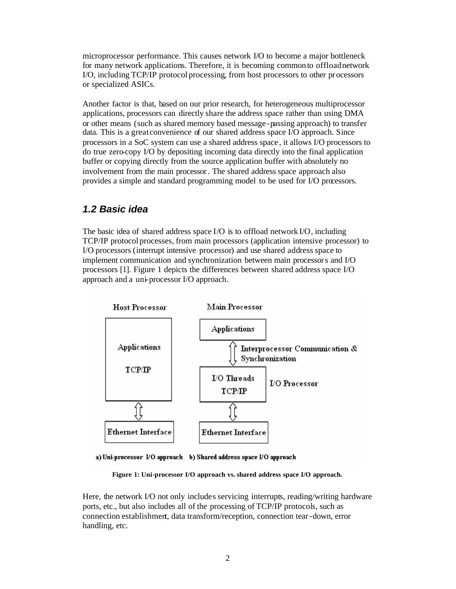microprocessor performance. This causes network I/O to become a major bottleneck for many network applications. Therefore, it is becoming common to offload network I/O, including TCP/IP protocol processing, from host processors to other processors or specialized ASICs.

Another factor is that, based on our prior research, for heterogeneous multiprocessor applications, processors can directly share the address space rather than using DMA or other means (such as shared memory based message -passing approach) to transfer data. This is a great convenience of our shared address space I/O approach. Since processors in a SoC system can use a shared address space , it allows I/O processors to do true zero-copy I/O by depositing incoming data directly into the final application buffer or copying directly from the source application buffer with absolutely no involvement from the main processor. The shared address space approach also provides a simple and standard programming model to be used for I/O processors.

#### *1.2 Basic idea*

The basic idea of shared address space I/O is to offload network I/O, including TCP/IP protocol processes, from main processors (application intensive processor) to I/O processors (interrupt intensive processor) and use shared address space to implement communication and synchronization between main processors and I/O processors [1]. Figure 1 depicts the differences between shared address space I/O approach and a uni-processor I/O approach.



a) Uni-processor I/O approach b) Shared address space I/O approach

**Figure 1: Uni-processor I/O approach vs. shared address space I/O approach.**

Here, the network I/O not only includes servicing interrupts, reading/writing hardware ports, etc., but also includes all of the processing of TCP/IP protocols, such as connection establishment, data transform/reception, connection tear-down, error handling, etc.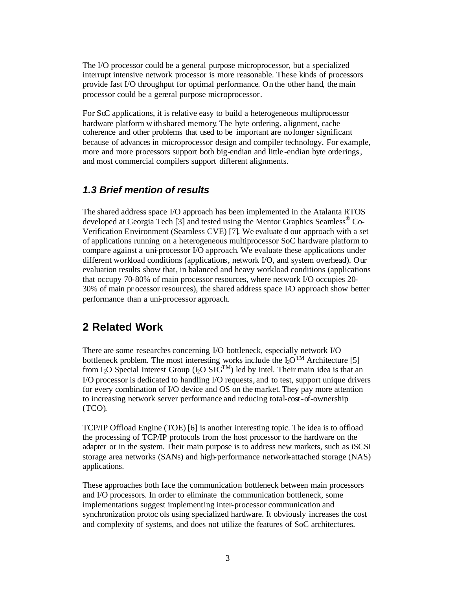The I/O processor could be a general purpose microprocessor, but a specialized interrupt intensive network processor is more reasonable. These kinds of processors provide fast I/O throughput for optimal performance. On the other hand, the main processor could be a general purpose microprocessor.

For SoC applications, it is relative easy to build a heterogeneous multiprocessor hardware platform w ith shared memory. The byte ordering, alignment, cache coherence and other problems that used to be important are no longer significant because of advances in microprocessor design and compiler technology. For example, more and more processors support both big-endian and little -endian byte orderings, and most commercial compilers support different alignments.

#### *1.3 Brief mention of results*

The shared address space I/O approach has been implemented in the Atalanta RTOS developed at Georgia Tech [3] and tested using the Mentor Graphics Seamless<sup>®</sup> Co-Verification Environment (Seamless CVE) [7]. We evaluate d our approach with a set of applications running on a heterogeneous multiprocessor SoC hardware platform to compare against a uni-processor I/O approach. We evaluate these applications under different workload conditions (applications, network I/O, and system overhead). Our evaluation results show that, in balanced and heavy workload conditions (applications that occupy 70-80% of main processor resources, where network I/O occupies 20- 30% of main pr ocessor resources), the shared address space I/O approach show better performance than a uni-processor approach.

## **2 Related Work**

There are some researches concerning I/O bottleneck, especially network I/O bottleneck problem. The most interesting works include the  $I_2O^{TM}$  Architecture [5] from I<sub>2</sub>O Special Interest Group (I<sub>2</sub>O SIG<sup>TM</sup>) led by Intel. Their main idea is that an I/O processor is dedicated to handling I/O requests, and to test, support unique drivers for every combination of I/O device and OS on the market. They pay more attention to increasing network server performance and reducing total-cost-of-ownership (TCO).

TCP/IP Offload Engine (TOE) [6] is another interesting topic. The idea is to offload the processing of TCP/IP protocols from the host processor to the hardware on the adapter or in the system. Their main purpose is to address new markets, such as iSCSI storage area networks (SANs) and high-performance network-attached storage (NAS) applications.

These approaches both face the communication bottleneck between main processors and I/O processors. In order to eliminate the communication bottleneck, some implementations suggest implementing inter-processor communication and synchronization protoc ols using specialized hardware. It obviously increases the cost and complexity of systems, and does not utilize the features of SoC architectures.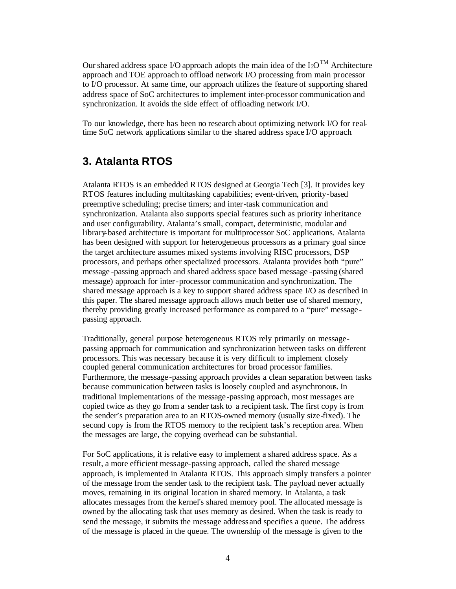Our shared address space I/O approach adopts the main idea of the  $I_2O^{TM}$  Architecture approach and TOE approach to offload network I/O processing from main processor to I/O processor. At same time, our approach utilizes the feature of supporting shared address space of SoC architectures to implement inter-processor communication and synchronization. It avoids the side effect of offloading network I/O.

To our knowledge, there has been no research about optimizing network I/O for realtime SoC network applications similar to the shared address space I/O approach.

## **3. Atalanta RTOS**

Atalanta RTOS is an embedded RTOS designed at Georgia Tech [3]. It provides key RTOS features including multitasking capabilities; event-driven, priority-based preemptive scheduling; precise timers; and inter-task communication and synchronization. Atalanta also supports special features such as priority inheritance and user configurability. Atalanta's small, compact, deterministic, modular and library-based architecture is important for multiprocessor SoC applications. Atalanta has been designed with support for heterogeneous processors as a primary goal since the target architecture assumes mixed systems involving RISC processors, DSP processors, and perhaps other specialized processors. Atalanta provides both "pure" message -passing approach and shared address space based message -passing (shared message) approach for inter-processor communication and synchronization. The shared message approach is a key to support shared address space I/O as described in this paper. The shared message approach allows much better use of shared memory, thereby providing greatly increased performance as compared to a "pure" message passing approach.

Traditionally, general purpose heterogeneous RTOS rely primarily on messagepassing approach for communication and synchronization between tasks on different processors. This was necessary because it is very difficult to implement closely coupled general communication architectures for broad processor families. Furthermore, the message -passing approach provides a clean separation between tasks because communication between tasks is loosely coupled and asynchronous. In traditional implementations of the message -passing approach, most messages are copied twice as they go from a sender task to a recipient task. The first copy is from the sender's preparation area to an RTOS-owned memory (usually size-fixed). The second copy is from the RTOS memory to the recipient task's reception area. When the messages are large, the copying overhead can be substantial.

For SoC applications, it is relative easy to implement a shared address space. As a result, a more efficient message-passing approach, called the shared message approach, is implemented in Atalanta RTOS. This approach simply transfers a pointer of the message from the sender task to the recipient task. The payload never actually moves, remaining in its original location in shared memory. In Atalanta, a task allocates messages from the kernel's shared memory pool. The allocated message is owned by the allocating task that uses memory as desired. When the task is ready to send the message, it submits the message address and specifies a queue. The address of the message is placed in the queue. The ownership of the message is given to the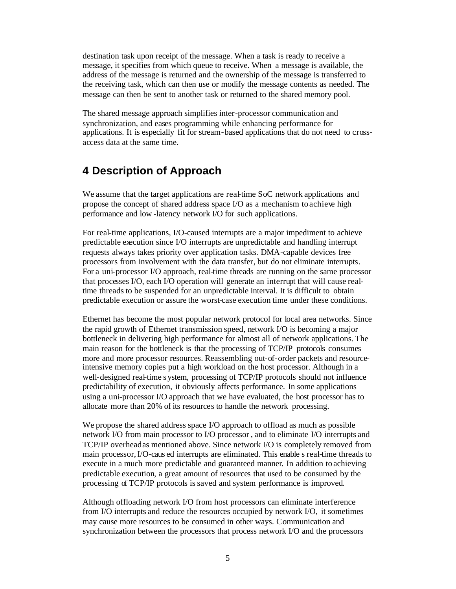destination task upon receipt of the message. When a task is ready to receive a message, it specifies from which queue to receive. When a message is available, the address of the message is returned and the ownership of the message is transferred to the receiving task, which can then use or modify the message contents as needed. The message can then be sent to another task or returned to the shared memory pool.

The shared message approach simplifies inter-processor communication and synchronization, and eases programming while enhancing performance for applications. It is especially fit for stream-based applications that do not need to crossaccess data at the same time.

# **4 Description of Approach**

We assume that the target applications are real-time SoC network applications and propose the concept of shared address space I/O as a mechanism to achieve high performance and low -latency network I/O for such applications.

For real-time applications, I/O-caused interrupts are a major impediment to achieve predictable execution since I/O interrupts are unpredictable and handling interrupt requests always takes priority over application tasks. DMA-capable devices free processors from involvement with the data transfer, but do not eliminate interrupts. For a uni-processor I/O approach, real-time threads are running on the same processor that processes I/O, each I/O operation will generate an interrupt that will cause realtime threads to be suspended for an unpredictable interval. It is difficult to obtain predictable execution or assure the worst-case execution time under these conditions.

Ethernet has become the most popular network protocol for local area networks. Since the rapid growth of Ethernet transmission speed, network I/O is becoming a major bottleneck in delivering high performance for almost all of network applications. The main reason for the bottleneck is that the processing of TCP/IP protocols consumes more and more processor resources. Reassembling out-of-order packets and resourceintensive memory copies put a high workload on the host processor. Although in a well-designed real-time s ystem, processing of TCP/IP protocols should not influence predictability of execution, it obviously affects performance. In some applications using a uni-processor I/O approach that we have evaluated, the host processor has to allocate more than 20% of its resources to handle the network processing.

We propose the shared address space I/O approach to offload as much as possible network I/O from main processor to I/O processor , and to eliminate I/O interrupts and TCP/IP overheadas mentioned above. Since network I/O is completely removed from main processor,I/O-caus ed interrupts are eliminated. This enable s real-time threads to execute in a much more predictable and guaranteed manner. In addition to achieving predictable execution, a great amount of resources that used to be consumed by the processing of TCP/IP protocols is saved and system performance is improved.

Although offloading network I/O from host processors can eliminate interference from I/O interrupts and reduce the resources occupied by network I/O, it sometimes may cause more resources to be consumed in other ways. Communication and synchronization between the processors that process network I/O and the processors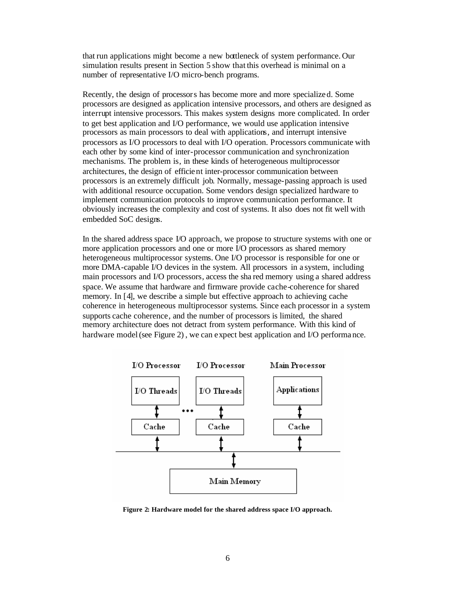that run applications might become a new bottleneck of system performance. Our simulation results present in Section 5 show that this overhead is minimal on a number of representative I/O micro-bench programs.

Recently, the design of processors has become more and more specialize d. Some processors are designed as application intensive processors, and others are designed as interrupt intensive processors. This makes system designs more complicated. In order to get best application and I/O performance, we would use application intensive processors as main processors to deal with applications, and interrupt intensive processors as I/O processors to deal with I/O operation. Processors communicate with each other by some kind of inter-processor communication and synchronization mechanisms. The problem is, in these kinds of heterogeneous multiprocessor architectures, the design of efficient inter-processor communication between processors is an extremely difficult job. Normally, message-passing approach is used with additional resource occupation. Some vendors design specialized hardware to implement communication protocols to improve communication performance. It obviously increases the complexity and cost of systems. It also does not fit well with embedded SoC designs.

In the shared address space I/O approach, we propose to structure systems with one or more application processors and one or more I/O processors as shared memory heterogeneous multiprocessor systems. One I/O processor is responsible for one or more DMA-capable I/O devices in the system. All processors in a system, including main processors and I/O processors, access the sha red memory using a shared address space. We assume that hardware and firmware provide cache-coherence for shared memory. In [4], we describe a simple but effective approach to achieving cache coherence in heterogeneous multiprocessor systems. Since each processor in a system supports cache coherence, and the number of processors is limited, the shared memory architecture does not detract from system performance. With this kind of hardware model (see Figure 2) , we can expect best application and I/O performa nce.



**Figure 2: Hardware model for the shared address space I/O approach.**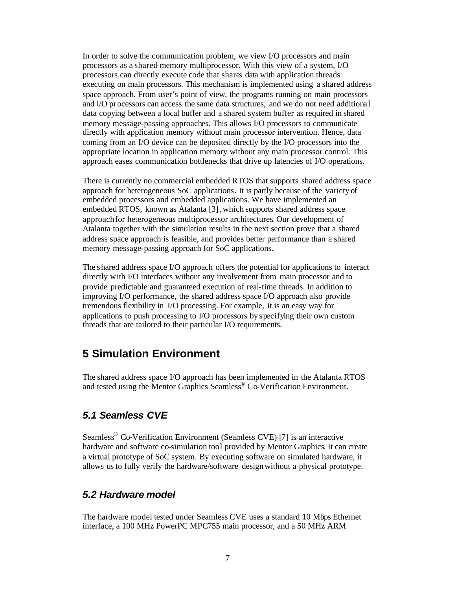In order to solve the communication problem, we view I/O processors and main processors as a shared-memory multiprocessor. With this view of a system, I/O processors can directly execute code that shares data with application threads executing on main processors. This mechanism is implemented using a shared address space approach. From user's point of view, the programs running on main processors and I/O processors can access the same data structures, and we do not need additional data copying between a local buffer and a shared system buffer as required in shared memory message-passing approaches. This allows I/O processors to communicate directly with application memory without main processor intervention. Hence, data coming from an I/O device can be deposited directly by the I/O processors into the appropriate location in application memory without any main processor control. This approach eases communication bottlenecks that drive up latencies of I/O operations.

There is currently no commercial embedded RTOS that supports shared address space approach for heterogeneous SoC applications. It is partly because of the variety of embedded processors and embedded applications. We have implemented an embedded RTOS, known as Atalanta [3], which supports shared address space approach for heterogeneous multiprocessor architectures. Our development of Atalanta together with the simulation results in the next section prove that a shared address space approach is feasible, and provides better performance than a shared memory message-passing approach for SoC applications.

The shared address space I/O approach offers the potential for applications to interact directly with I/O interfaces without any involvement from main processor and to provide predictable and guaranteed execution of real-time threads. In addition to improving I/O performance, the shared address space I/O approach also provide tremendous flexibility in I/O processing. For example, it is an easy way for applications to push processing to I/O processors by specifying their own custom threads that are tailored to their particular I/O requirements.

## **5 Simulation Environment**

The shared address space I/O approach has been implemented in the Atalanta RTOS and tested using the Mentor Graphics Seamless® Co-Verification Environment.

### *5.1 Seamless CVE*

Seamless<sup>®</sup> Co-Verification Environment (Seamless CVE) [7] is an interactive hardware and software co-simulation tool provided by Mentor Graphics. It can create a virtual prototype of SoC system. By executing software on simulated hardware, it allows us to fully verify the hardware/software designwithout a physical prototype.

#### *5.2 Hardware model*

The hardware model tested under Seamless CVE uses a standard 10 Mbps Ethernet interface, a 100 MHz PowerPC MPC755 main processor, and a 50 MHz ARM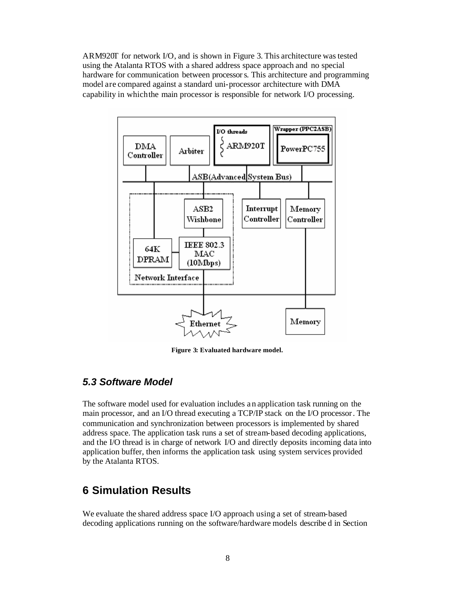ARM920T for network I/O, and is shown in Figure 3. This architecture was tested using the Atalanta RTOS with a shared address space approach and no special hardware for communication between processors. This architecture and programming model are compared against a standard uni-processor architecture with DMA capability in which the main processor is responsible for network I/O processing.



**Figure 3: Evaluated hardware model.**

### *5.3 Software Model*

The software model used for evaluation includes a n application task running on the main processor, and an I/O thread executing a TCP/IP stack on the I/O processor. The communication and synchronization between processors is implemented by shared address space. The application task runs a set of stream-based decoding applications, and the I/O thread is in charge of network I/O and directly deposits incoming data into application buffer, then informs the application task using system services provided by the Atalanta RTOS.

## **6 Simulation Results**

We evaluate the shared address space I/O approach using a set of stream-based decoding applications running on the software/hardware models describe d in Section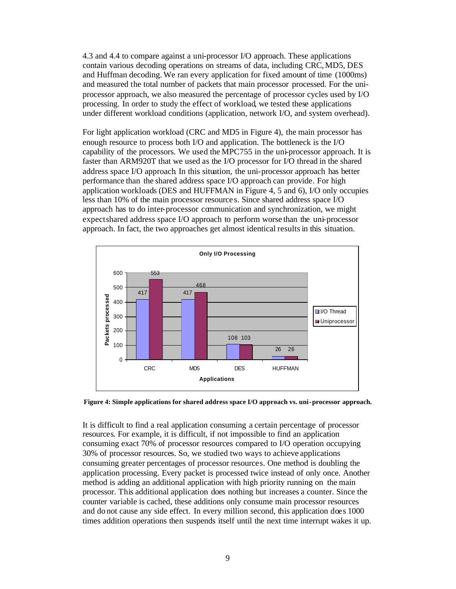4.3 and 4.4 to compare against a uni-processor I/O approach. These applications contain various decoding operations on streams of data, including CRC, MD5, DES and Huffman decoding. We ran every application for fixed amount of time (1000ms) and measured the total number of packets that main processor processed. For the uniprocessor approach, we also measured the percentage of processor cycles used by I/O processing. In order to study the effect of workload, we tested these applications under different workload conditions (application, network I/O, and system overhead).

For light application workload (CRC and MD5 in Figure 4), the main processor has enough resource to process both I/O and application. The bottleneck is the I/O capability of the processors. We used the MPC755 in the uni-processor approach. It is faster than ARM920T that we used as the I/O processor for I/O thread in the shared address space I/O approach. In this situation, the uni-processor approach has better performance than the shared address space I/O approach can provide. For high application workloads (DES and HUFFMAN in Figure 4, 5 and 6), I/O only occupies less than 10% of the main processor resource s. Since shared address space I/O approach has to do inter-processor communication and synchronization, we might expect shared address space I/O approach to perform worse than the uni-processor approach. In fact, the two approaches get almost identical results in this situation.





It is difficult to find a real application consuming a certain percentage of processor resources. For example, it is difficult, if not impossible to find an application consuming exact 70% of processor resources compared to I/O operation occupying 30% of processor resources. So, we studied two ways to achieve applications consuming greater percentages of processor resources. One method is doubling the application processing. Every packet is processed twice instead of only once. Another method is adding an additional application with high priority running on the main processor. This additional application does nothing but increases a counter. Since the counter variable is cached, these additions only consume main processor resources and do not cause any side effect. In every million second, this application does 1000 times addition operations then suspends itself until the next time interrupt wakes it up.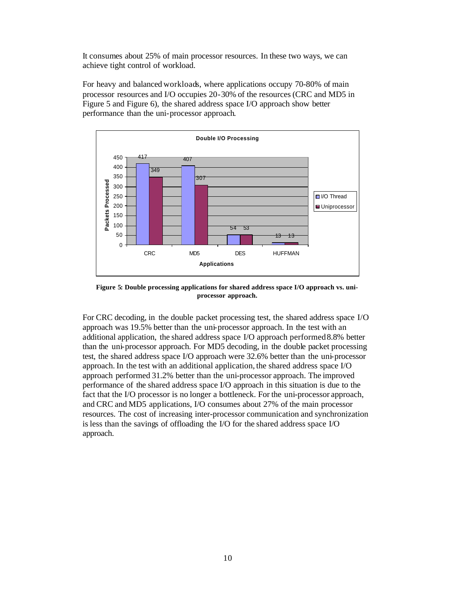It consumes about 25% of main processor resources. In these two ways, we can achieve tight control of workload.

For heavy and balanced workloads, where applications occupy 70-80% of main processor resources and I/O occupies 20-30% of the resources (CRC and MD5 in Figure 5 and Figure 6), the shared address space I/O approach show better performance than the uni-processor approach.



**Figure 5: Double processing applications for shared address space I/O approach vs. uniprocessor approach.**

For CRC decoding, in the double packet processing test, the shared address space I/O approach was 19.5% better than the uni-processor approach. In the test with an additional application, the shared address space I/O approach performed 8.8% better than the uni-processor approach. For MD5 decoding, in the double packet processing test, the shared address space I/O approach were 32.6% better than the uni-processor approach. In the test with an additional application, the shared address space I/O approach performed 31.2% better than the uni-processor approach. The improved performance of the shared address space I/O approach in this situation is due to the fact that the I/O processor is no longer a bottleneck. For the uni-processor approach, and CRC and MD5 applications, I/O consumes about 27% of the main processor resources. The cost of increasing inter-processor communication and synchronization is less than the savings of offloading the I/O for the shared address space I/O approach.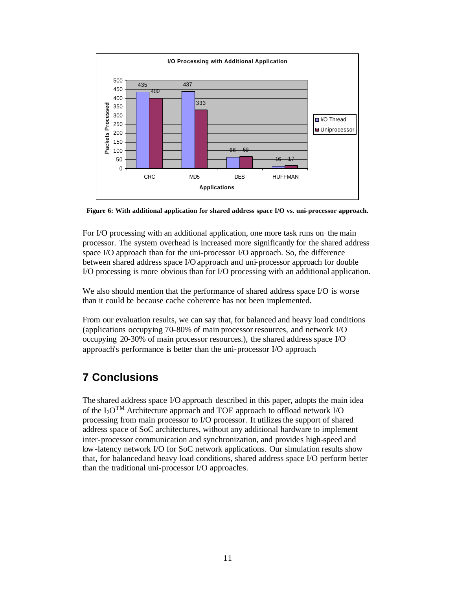

**Figure 6: With additional application for shared address space I/O vs. uni-processor approach.**

For I/O processing with an additional application, one more task runs on the main processor. The system overhead is increased more significantly for the shared address space I/O approach than for the uni-processor I/O approach. So, the difference between shared address space I/O approach and uni-processor approach for double I/O processing is more obvious than for I/O processing with an additional application.

We also should mention that the performance of shared address space I/O is worse than it could be because cache coherence has not been implemented.

From our evaluation results, we can say that, for balanced and heavy load conditions (applications occupying 70-80% of main processor resources, and network I/O occupying 20-30% of main processor resources.), the shared address space I/O approach's performance is better than the uni-processor I/O approach.

# **7 Conclusions**

The shared address space I/O approach described in this paper, adopts the main idea of the  $I_2O^{TM}$  Architecture approach and TOE approach to offload network I/O processing from main processor to I/O processor. It utilizes the support of shared address space of SoC architectures, without any additional hardware to implement inter-processor communication and synchronization, and provides high-speed and low-latency network I/O for SoC network applications. Our simulation results show that, for balanced and heavy load conditions, shared address space I/O perform better than the traditional uni-processor I/O approaches.